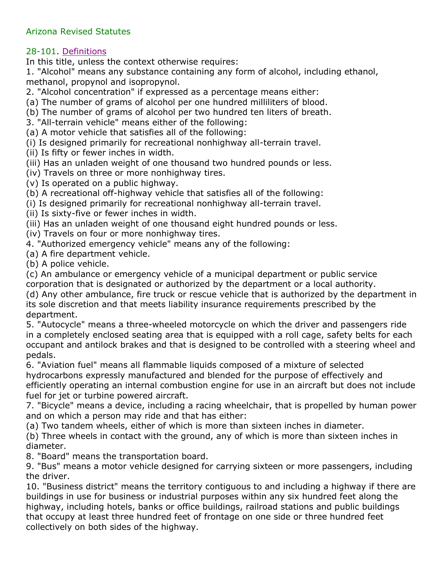## Arizona Revised Statutes

## 28-101. Definitions

In this title, unless the context otherwise requires:

1. "Alcohol" means any substance containing any form of alcohol, including ethanol, methanol, propynol and isopropynol.

2. "Alcohol concentration" if expressed as a percentage means either:

(a) The number of grams of alcohol per one hundred milliliters of blood.

(b) The number of grams of alcohol per two hundred ten liters of breath.

3. "All-terrain vehicle" means either of the following:

(a) A motor vehicle that satisfies all of the following:

(i) Is designed primarily for recreational nonhighway all-terrain travel.

(ii) Is fifty or fewer inches in width.

(iii) Has an unladen weight of one thousand two hundred pounds or less.

(iv) Travels on three or more nonhighway tires.

(v) Is operated on a public highway.

(b) A recreational off-highway vehicle that satisfies all of the following:

(i) Is designed primarily for recreational nonhighway all-terrain travel.

(ii) Is sixty-five or fewer inches in width.

(iii) Has an unladen weight of one thousand eight hundred pounds or less.

(iv) Travels on four or more nonhighway tires.

4. "Authorized emergency vehicle" means any of the following:

(a) A fire department vehicle.

(b) A police vehicle.

(c) An ambulance or emergency vehicle of a municipal department or public service

corporation that is designated or authorized by the department or a local authority.

(d) Any other ambulance, fire truck or rescue vehicle that is authorized by the department in its sole discretion and that meets liability insurance requirements prescribed by the department.

5. "Autocycle" means a three-wheeled motorcycle on which the driver and passengers ride in a completely enclosed seating area that is equipped with a roll cage, safety belts for each occupant and antilock brakes and that is designed to be controlled with a steering wheel and pedals.

6. "Aviation fuel" means all flammable liquids composed of a mixture of selected hydrocarbons expressly manufactured and blended for the purpose of effectively and efficiently operating an internal combustion engine for use in an aircraft but does not include fuel for jet or turbine powered aircraft.

7. "Bicycle" means a device, including a racing wheelchair, that is propelled by human power and on which a person may ride and that has either:

(a) Two tandem wheels, either of which is more than sixteen inches in diameter.

(b) Three wheels in contact with the ground, any of which is more than sixteen inches in diameter.

8. "Board" means the transportation board.

9. "Bus" means a motor vehicle designed for carrying sixteen or more passengers, including the driver.

10. "Business district" means the territory contiguous to and including a highway if there are buildings in use for business or industrial purposes within any six hundred feet along the highway, including hotels, banks or office buildings, railroad stations and public buildings that occupy at least three hundred feet of frontage on one side or three hundred feet collectively on both sides of the highway.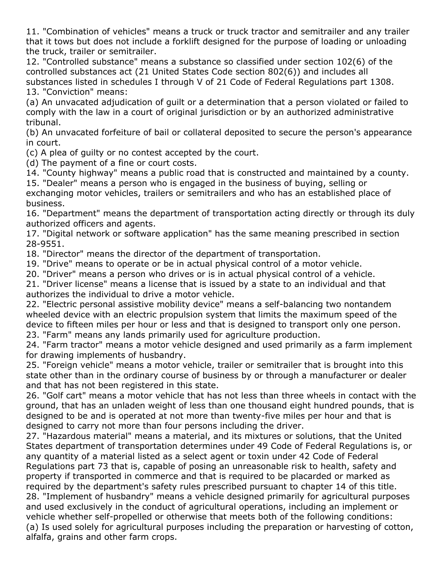11. "Combination of vehicles" means a truck or truck tractor and semitrailer and any trailer that it tows but does not include a forklift designed for the purpose of loading or unloading the truck, trailer or semitrailer.

12. "Controlled substance" means a substance so classified under section 102(6) of the controlled substances act (21 United States Code section 802(6)) and includes all substances listed in schedules I through V of 21 Code of Federal Regulations part 1308. 13. "Conviction" means:

(a) An unvacated adjudication of guilt or a determination that a person violated or failed to comply with the law in a court of original jurisdiction or by an authorized administrative tribunal.

(b) An unvacated forfeiture of bail or collateral deposited to secure the person's appearance in court.

(c) A plea of guilty or no contest accepted by the court.

(d) The payment of a fine or court costs.

14. "County highway" means a public road that is constructed and maintained by a county.

15. "Dealer" means a person who is engaged in the business of buying, selling or exchanging motor vehicles, trailers or semitrailers and who has an established place of business.

16. "Department" means the department of transportation acting directly or through its duly authorized officers and agents.

17. "Digital network or software application" has the same meaning prescribed in section 28-9551.

18. "Director" means the director of the department of transportation.

19. "Drive" means to operate or be in actual physical control of a motor vehicle.

20. "Driver" means a person who drives or is in actual physical control of a vehicle.

21. "Driver license" means a license that is issued by a state to an individual and that authorizes the individual to drive a motor vehicle.

22. "Electric personal assistive mobility device" means a self-balancing two nontandem wheeled device with an electric propulsion system that limits the maximum speed of the device to fifteen miles per hour or less and that is designed to transport only one person. 23. "Farm" means any lands primarily used for agriculture production.

24. "Farm tractor" means a motor vehicle designed and used primarily as a farm implement for drawing implements of husbandry.

25. "Foreign vehicle" means a motor vehicle, trailer or semitrailer that is brought into this state other than in the ordinary course of business by or through a manufacturer or dealer and that has not been registered in this state.

26. "Golf cart" means a motor vehicle that has not less than three wheels in contact with the ground, that has an unladen weight of less than one thousand eight hundred pounds, that is designed to be and is operated at not more than twenty-five miles per hour and that is designed to carry not more than four persons including the driver.

27. "Hazardous material" means a material, and its mixtures or solutions, that the United States department of transportation determines under 49 Code of Federal Regulations is, or any quantity of a material listed as a select agent or toxin under 42 Code of Federal Regulations part 73 that is, capable of posing an unreasonable risk to health, safety and property if transported in commerce and that is required to be placarded or marked as required by the department's safety rules prescribed pursuant to chapter 14 of this title. 28. "Implement of husbandry" means a vehicle designed primarily for agricultural purposes and used exclusively in the conduct of agricultural operations, including an implement or vehicle whether self-propelled or otherwise that meets both of the following conditions: (a) Is used solely for agricultural purposes including the preparation or harvesting of cotton, alfalfa, grains and other farm crops.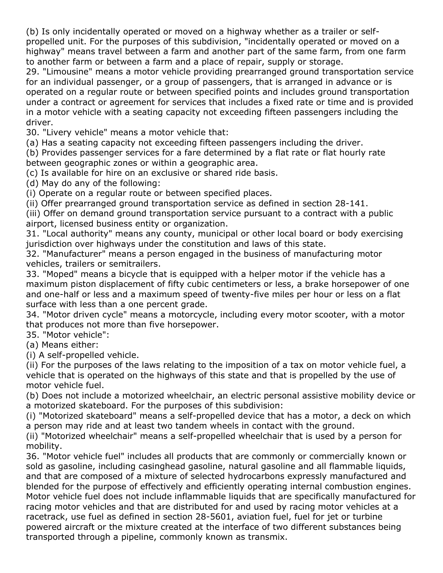(b) Is only incidentally operated or moved on a highway whether as a trailer or selfpropelled unit. For the purposes of this subdivision, "incidentally operated or moved on a highway" means travel between a farm and another part of the same farm, from one farm to another farm or between a farm and a place of repair, supply or storage.

29. "Limousine" means a motor vehicle providing prearranged ground transportation service for an individual passenger, or a group of passengers, that is arranged in advance or is operated on a regular route or between specified points and includes ground transportation under a contract or agreement for services that includes a fixed rate or time and is provided in a motor vehicle with a seating capacity not exceeding fifteen passengers including the driver.

30. "Livery vehicle" means a motor vehicle that:

(a) Has a seating capacity not exceeding fifteen passengers including the driver.

(b) Provides passenger services for a fare determined by a flat rate or flat hourly rate between geographic zones or within a geographic area.

(c) Is available for hire on an exclusive or shared ride basis.

(d) May do any of the following:

(i) Operate on a regular route or between specified places.

(ii) Offer prearranged ground transportation service as defined in section 28-141.

(iii) Offer on demand ground transportation service pursuant to a contract with a public airport, licensed business entity or organization.

31. "Local authority" means any county, municipal or other local board or body exercising jurisdiction over highways under the constitution and laws of this state.

32. "Manufacturer" means a person engaged in the business of manufacturing motor vehicles, trailers or semitrailers.

33. "Moped" means a bicycle that is equipped with a helper motor if the vehicle has a maximum piston displacement of fifty cubic centimeters or less, a brake horsepower of one and one-half or less and a maximum speed of twenty-five miles per hour or less on a flat surface with less than a one percent grade.

34. "Motor driven cycle" means a motorcycle, including every motor scooter, with a motor that produces not more than five horsepower.

35. "Motor vehicle":

(a) Means either:

(i) A self-propelled vehicle.

(ii) For the purposes of the laws relating to the imposition of a tax on motor vehicle fuel, a vehicle that is operated on the highways of this state and that is propelled by the use of motor vehicle fuel.

(b) Does not include a motorized wheelchair, an electric personal assistive mobility device or a motorized skateboard. For the purposes of this subdivision:

(i) "Motorized skateboard" means a self-propelled device that has a motor, a deck on which a person may ride and at least two tandem wheels in contact with the ground.

(ii) "Motorized wheelchair" means a self-propelled wheelchair that is used by a person for mobility.

36. "Motor vehicle fuel" includes all products that are commonly or commercially known or sold as gasoline, including casinghead gasoline, natural gasoline and all flammable liquids, and that are composed of a mixture of selected hydrocarbons expressly manufactured and blended for the purpose of effectively and efficiently operating internal combustion engines. Motor vehicle fuel does not include inflammable liquids that are specifically manufactured for racing motor vehicles and that are distributed for and used by racing motor vehicles at a racetrack, use fuel as defined in section 28-5601, aviation fuel, fuel for jet or turbine powered aircraft or the mixture created at the interface of two different substances being transported through a pipeline, commonly known as transmix.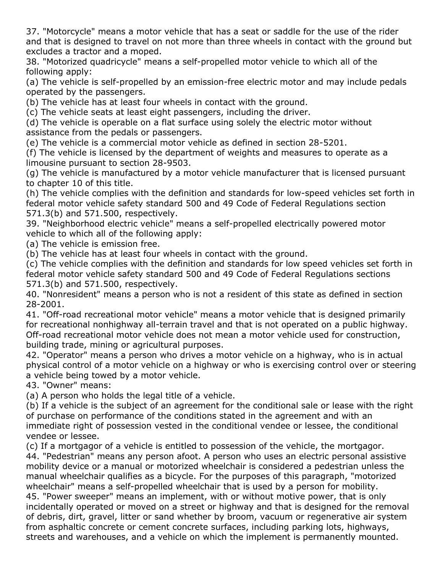37. "Motorcycle" means a motor vehicle that has a seat or saddle for the use of the rider and that is designed to travel on not more than three wheels in contact with the ground but excludes a tractor and a moped.

38. "Motorized quadricycle" means a self-propelled motor vehicle to which all of the following apply:

(a) The vehicle is self-propelled by an emission-free electric motor and may include pedals operated by the passengers.

(b) The vehicle has at least four wheels in contact with the ground.

(c) The vehicle seats at least eight passengers, including the driver.

(d) The vehicle is operable on a flat surface using solely the electric motor without assistance from the pedals or passengers.

(e) The vehicle is a commercial motor vehicle as defined in section 28-5201.

(f) The vehicle is licensed by the department of weights and measures to operate as a limousine pursuant to section 28-9503.

(g) The vehicle is manufactured by a motor vehicle manufacturer that is licensed pursuant to chapter 10 of this title.

(h) The vehicle complies with the definition and standards for low-speed vehicles set forth in federal motor vehicle safety standard 500 and 49 Code of Federal Regulations section 571.3(b) and 571.500, respectively.

39. "Neighborhood electric vehicle" means a self-propelled electrically powered motor vehicle to which all of the following apply:

(a) The vehicle is emission free.

(b) The vehicle has at least four wheels in contact with the ground.

(c) The vehicle complies with the definition and standards for low speed vehicles set forth in federal motor vehicle safety standard 500 and 49 Code of Federal Regulations sections 571.3(b) and 571.500, respectively.

40. "Nonresident" means a person who is not a resident of this state as defined in section 28-2001.

41. "Off-road recreational motor vehicle" means a motor vehicle that is designed primarily for recreational nonhighway all-terrain travel and that is not operated on a public highway. Off-road recreational motor vehicle does not mean a motor vehicle used for construction, building trade, mining or agricultural purposes.

42. "Operator" means a person who drives a motor vehicle on a highway, who is in actual physical control of a motor vehicle on a highway or who is exercising control over or steering a vehicle being towed by a motor vehicle.

43. "Owner" means:

(a) A person who holds the legal title of a vehicle.

(b) If a vehicle is the subject of an agreement for the conditional sale or lease with the right of purchase on performance of the conditions stated in the agreement and with an immediate right of possession vested in the conditional vendee or lessee, the conditional vendee or lessee.

(c) If a mortgagor of a vehicle is entitled to possession of the vehicle, the mortgagor. 44. "Pedestrian" means any person afoot. A person who uses an electric personal assistive mobility device or a manual or motorized wheelchair is considered a pedestrian unless the manual wheelchair qualifies as a bicycle. For the purposes of this paragraph, "motorized wheelchair" means a self-propelled wheelchair that is used by a person for mobility. 45. "Power sweeper" means an implement, with or without motive power, that is only incidentally operated or moved on a street or highway and that is designed for the removal of debris, dirt, gravel, litter or sand whether by broom, vacuum or regenerative air system from asphaltic concrete or cement concrete surfaces, including parking lots, highways, streets and warehouses, and a vehicle on which the implement is permanently mounted.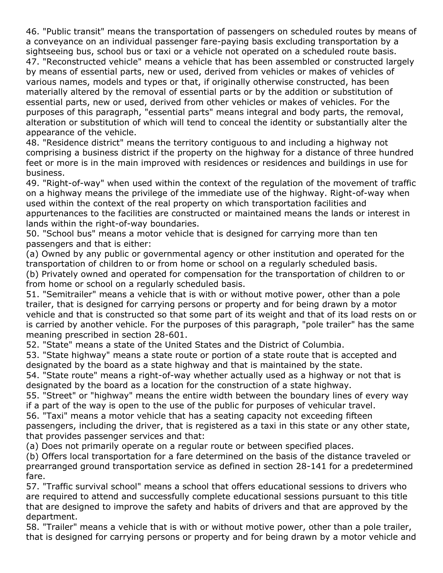46. "Public transit" means the transportation of passengers on scheduled routes by means of a conveyance on an individual passenger fare-paying basis excluding transportation by a sightseeing bus, school bus or taxi or a vehicle not operated on a scheduled route basis. 47. "Reconstructed vehicle" means a vehicle that has been assembled or constructed largely by means of essential parts, new or used, derived from vehicles or makes of vehicles of various names, models and types or that, if originally otherwise constructed, has been materially altered by the removal of essential parts or by the addition or substitution of essential parts, new or used, derived from other vehicles or makes of vehicles. For the purposes of this paragraph, "essential parts" means integral and body parts, the removal, alteration or substitution of which will tend to conceal the identity or substantially alter the appearance of the vehicle.

48. "Residence district" means the territory contiguous to and including a highway not comprising a business district if the property on the highway for a distance of three hundred feet or more is in the main improved with residences or residences and buildings in use for business.

49. "Right-of-way" when used within the context of the regulation of the movement of traffic on a highway means the privilege of the immediate use of the highway. Right-of-way when used within the context of the real property on which transportation facilities and appurtenances to the facilities are constructed or maintained means the lands or interest in lands within the right-of-way boundaries.

50. "School bus" means a motor vehicle that is designed for carrying more than ten passengers and that is either:

(a) Owned by any public or governmental agency or other institution and operated for the transportation of children to or from home or school on a regularly scheduled basis. (b) Privately owned and operated for compensation for the transportation of children to or from home or school on a regularly scheduled basis.

51. "Semitrailer" means a vehicle that is with or without motive power, other than a pole trailer, that is designed for carrying persons or property and for being drawn by a motor vehicle and that is constructed so that some part of its weight and that of its load rests on or is carried by another vehicle. For the purposes of this paragraph, "pole trailer" has the same meaning prescribed in section 28-601.

52. "State" means a state of the United States and the District of Columbia.

53. "State highway" means a state route or portion of a state route that is accepted and designated by the board as a state highway and that is maintained by the state.

54. "State route" means a right-of-way whether actually used as a highway or not that is designated by the board as a location for the construction of a state highway.

55. "Street" or "highway" means the entire width between the boundary lines of every way if a part of the way is open to the use of the public for purposes of vehicular travel.

56. "Taxi" means a motor vehicle that has a seating capacity not exceeding fifteen

passengers, including the driver, that is registered as a taxi in this state or any other state, that provides passenger services and that:

(a) Does not primarily operate on a regular route or between specified places.

(b) Offers local transportation for a fare determined on the basis of the distance traveled or prearranged ground transportation service as defined in section 28-141 for a predetermined fare.

57. "Traffic survival school" means a school that offers educational sessions to drivers who are required to attend and successfully complete educational sessions pursuant to this title that are designed to improve the safety and habits of drivers and that are approved by the department.

58. "Trailer" means a vehicle that is with or without motive power, other than a pole trailer, that is designed for carrying persons or property and for being drawn by a motor vehicle and